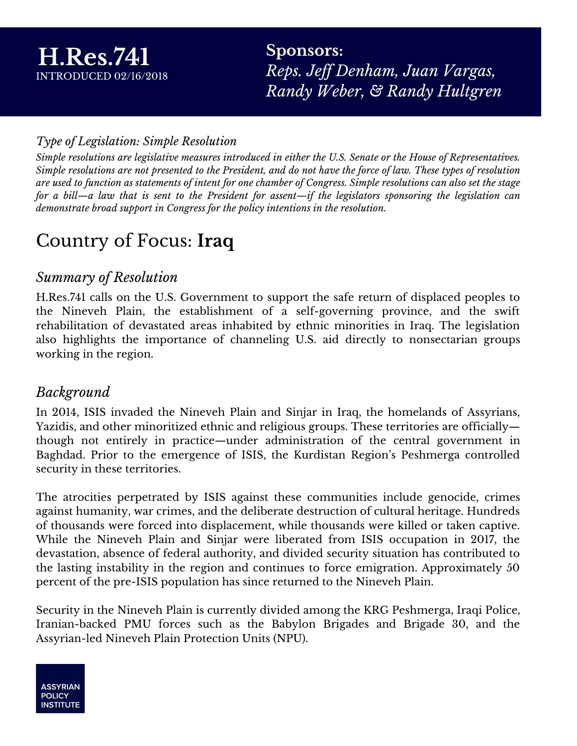**Sponsors:** *Reps. Jef Denham, Juan Vargas, Randy Weber, & Randy Hultgren*

#### *Type of Legislation: Simple Resolution*

Simple resolutions are legislative measures introduced in either the U.S. Senate or the House of Representatives. Simple resolutions are not presented to the President, and do not have the force of law. These types of resolution are used to function as statements of intent for one chamber of Congress. Simple resolutions can also set the stage for a bill—a law that is sent to the President for assent—if the legislators sponsoring the legislation can *demonstrate broad support in Congress for the policy intentions in the resolution.*

# Country of Focus: **Iraq**

### *Summary of Resolution*

H.Res.741 calls on the U.S. Government to support the safe return of displaced peoples to the Nineveh Plain, the establishment of a self-governing province, and the swift rehabilitation of devastated areas inhabited by ethnic minorities in Iraq. The legislation also highlights the importance of channeling U.S. aid directly to nonsectarian groups working in the region.

### *Background*

In 2014, ISIS invaded the Nineveh Plain and Sinjar in Iraq, the homelands of Assyrians, Yazidis, and other minoritized ethnic and religious groups. These territories are officially though not entirely in practice—under administration of the central government in Baghdad. Prior to the emergence of ISIS, the Kurdistan Region's Peshmerga controlled security in these territories.

The atrocities perpetrated by ISIS against these communities include genocide, crimes against humanity, war crimes, and the deliberate destruction of cultural heritage. Hundreds of thousands were forced into displacement, while thousands were killed or taken captive. While the Nineveh Plain and Sinjar were liberated from ISIS occupation in 2017, the devastation, absence of federal authority, and divided security situation has contributed to the lasting instability in the region and continues to force emigration. Approximately 50 percent of the pre-ISIS population has since returned to the Nineveh Plain.

Security in the Nineveh Plain is currently divided among the KRG Peshmerga, Iraqi Police, Iranian-backed PMU forces such as the Babylon Brigades and Brigade 30, and the Assyrian-led Nineveh Plain Protection Units (NPU).

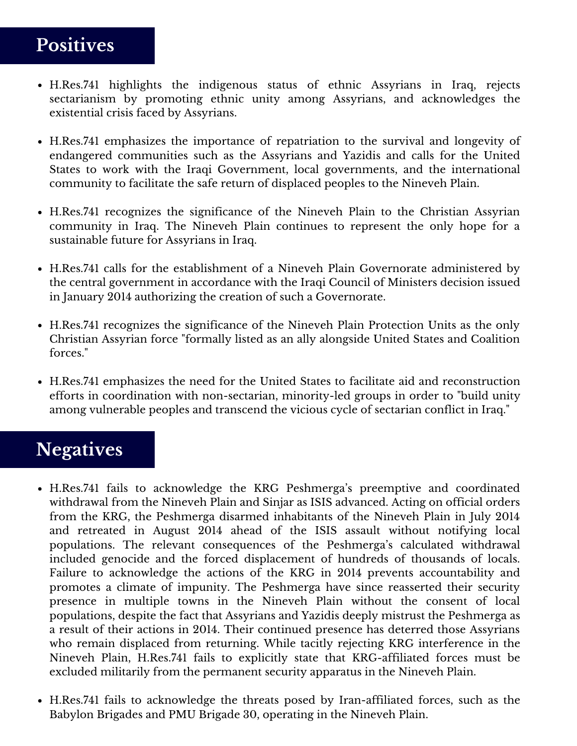# **Positives**

- H.Res.741 highlights the indigenous status of ethnic Assyrians in Iraq, rejects sectarianism by promoting ethnic unity among Assyrians, and acknowledges the existential crisis faced by Assyrians.
- H.Res.741 emphasizes the importance of repatriation to the survival and longevity of endangered communities such as the Assyrians and Yazidis and calls for the United States to work with the Iraqi Government, local governments, and the international community to facilitate the safe return of displaced peoples to the Nineveh Plain.
- H.Res.741 recognizes the significance of the Nineveh Plain to the Christian Assyrian community in Iraq. The Nineveh Plain continues to represent the only hope for a sustainable future for Assyrians in Iraq.
- H.Res.741 calls for the establishment of a Nineveh Plain Governorate administered by the central government in accordance with the Iraqi Council of Ministers decision issued in January 2014 authorizing the creation of such a Governorate.
- H.Res.741 recognizes the significance of the Nineveh Plain Protection Units as the only Christian Assyrian force "formally listed as an ally alongside United States and Coalition forces."
- H.Res.741 emphasizes the need for the United States to facilitate aid and reconstruction efforts in coordination with non-sectarian, minority-led groups in order to "build unity among vulnerable peoples and transcend the vicious cycle of sectarian conflict in Iraq."

### **Negatives**

- H.Res.741 fails to acknowledge the KRG Peshmerga's preemptive and coordinated withdrawal from the Nineveh Plain and Sinjar as ISIS advanced. Acting on official orders from the KRG, the Peshmerga disarmed inhabitants of the Nineveh Plain in July 2014 and retreated in August 2014 ahead of the ISIS assault without notifying local populations. The relevant consequences of the Peshmerga's calculated withdrawal included genocide and the forced displacement of hundreds of thousands of locals. Failure to acknowledge the actions of the KRG in 2014 prevents accountability and promotes a climate of impunity. The Peshmerga have since reasserted their security presence in multiple towns in the Nineveh Plain without the consent of local populations, despite the fact that Assyrians and Yazidis deeply mistrust the Peshmerga as a result of their actions in 2014. Their continued presence has deterred those Assyrians who remain displaced from returning. While tacitly rejecting KRG interference in the Nineveh Plain, H.Res.741 fails to explicitly state that KRG-affiliated forces must be excluded militarily from the permanent security apparatus in the Nineveh Plain.
- H.Res.741 fails to acknowledge the threats posed by Iran-affiliated forces, such as the Babylon Brigades and PMU Brigade 30, operating in the Nineveh Plain.